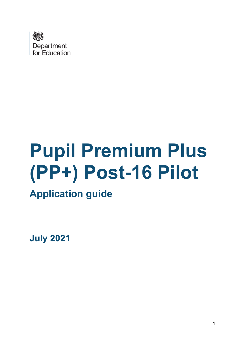

# **Pupil Premium Plus (PP+) Post-16 Pilot**

# **Application guide**

**July 2021**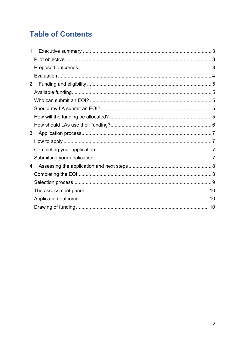# **Table of Contents**

| 1. |  |
|----|--|
|    |  |
|    |  |
|    |  |
| 2. |  |
|    |  |
|    |  |
|    |  |
|    |  |
|    |  |
| 3. |  |
|    |  |
|    |  |
|    |  |
| 4. |  |
|    |  |
|    |  |
|    |  |
|    |  |
|    |  |
|    |  |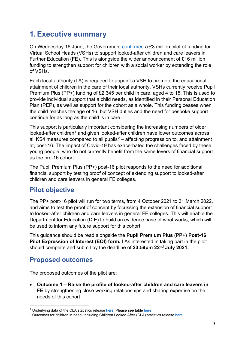# <span id="page-2-0"></span>**1.Executive summary**

On Wednesday 16 June, the Government [confirmed](https://www.gov.uk/government/news/16-million-to-support-young-people-with-a-social-worker) a £3 million pilot of funding for Virtual School Heads (VSHs) to support looked-after children and care leavers in Further Education (FE). This is alongside the wider announcement of £16 million funding to strengthen support for children with a social worker by extending the role of VSHs.

Each local authority (LA) is required to appoint a VSH to promote the educational attainment of children in the care of their local authority. VSHs currently receive Pupil Premium Plus (PP+) funding of £2,345 per child in care, aged 4 to 15. This is used to provide individual support that a child needs, as identified in their Personal Education Plan (PEP), as well as support for the cohort as a whole. This funding ceases when the child reaches the age of 16, but VSH duties and the need for bespoke support continue for as long as the child is in care.

This support is particularly important considering the increasing numbers of older looked-after children<sup>[1](#page-2-3)</sup> and given looked-after children have lower outcomes across all KS4 measures compared to all pupils<sup>[2](#page-2-4)</sup> – affecting progression to, and attainment at, post-16. The impact of Covid-19 has exacerbated the challenges faced by these young people, who do not currently benefit from the same levers of financial support as the pre-16 cohort.

The Pupil Premium Plus (PP+) post-16 pilot responds to the need for additional financial support by testing proof of concept of extending support to looked-after children and care leavers in general FE colleges.

## <span id="page-2-1"></span>**Pilot objective**

The PP+ post-16 pilot will run for two terms, from 4 October 2021 to 31 March 2022, and aims to test the proof of concept by focussing the extension of financial support to looked-after children and care leavers in general FE colleges. This will enable the Department for Education (DfE) to build an evidence base of what works, which will be used to inform any future support for this cohort.

This guidance should be read alongside the **Pupil Premium Plus (PP+) Post-16 Pilot Expression of Interest (EOI) form.** LAs interested in taking part in the pilot should complete and submit by the deadline of **23:59pm 22nd July 2021.**

#### <span id="page-2-2"></span>**Proposed outcomes**

The proposed outcomes of the pilot are:

• **Outcome 1 – Raise the profile of looked-after children and care leavers in FE** by strengthening close working relationships and sharing expertise on the needs of this cohort.

<span id="page-2-3"></span> $1$  Underlying data of the CLA statistics release [here.](https://explore-education-statistics.service.gov.uk/data-tables/fast-track/8413bd02-26f0-45f7-a9ca-0712a1f93ebb) Please see table here.

<span id="page-2-4"></span><sup>&</sup>lt;sup>2</sup> Outcomes for children in need, including Children Looked After (CLA) statistics release [here.](https://explore-education-statistics.service.gov.uk/find-statistics/outcomes-for-children-in-need-including-children-looked-after-by-local-authorities-in-england/2020#dataBlock-0bf1d46a-68ee-45ef-ed58-08d919136455-tables)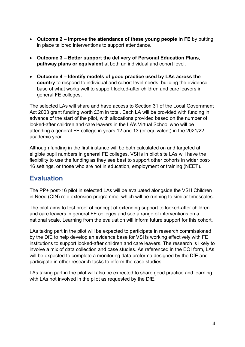- **Outcome 2 Improve the attendance of these young people in FE** by putting in place tailored interventions to support attendance.
- **Outcome 3 Better support the delivery of Personal Education Plans, pathway plans or equivalent** at both an individual and cohort level.
- **Outcome 4 Identify models of good practice used by LAs across the country** to respond to individual and cohort level needs, building the evidence base of what works well to support looked-after children and care leavers in general FE colleges.

The selected LAs will share and have access to Section 31 of the Local Government Act 2003 grant funding worth £3m in total. Each LA will be provided with funding in advance of the start of the pilot, with allocations provided based on the number of looked-after children and care leavers in the LA's Virtual School who will be attending a general FE college in years 12 and 13 (or equivalent) in the 2021/22 academic year.

Although funding in the first instance will be both calculated on and targeted at eligible pupil numbers in general FE colleges, VSHs in pilot site LAs will have the flexibility to use the funding as they see best to support other cohorts in wider post-16 settings, or those who are not in education, employment or training (NEET).

## <span id="page-3-0"></span>**Evaluation**

The PP+ post-16 pilot in selected LAs will be evaluated alongside the VSH Children in Need (CIN) role extension programme, which will be running to similar timescales.

The pilot aims to test proof of concept of extending support to looked-after children and care leavers in general FE colleges and see a range of interventions on a national scale. Learning from the evaluation will inform future support for this cohort.

LAs taking part in the pilot will be expected to participate in research commissioned by the DfE to help develop an evidence base for VSHs working effectively with FE institutions to support looked-after children and care leavers. The research is likely to involve a mix of data collection and case studies. As referenced in the EOI form, LAs will be expected to complete a monitoring data proforma designed by the DfE and participate in other research tasks to inform the case studies.

LAs taking part in the pilot will also be expected to share good practice and learning with LAs not involved in the pilot as requested by the DfE.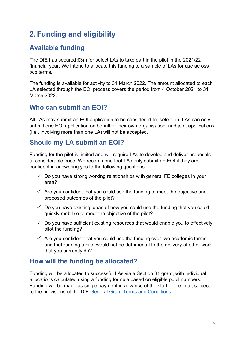# <span id="page-4-0"></span>**2. Funding and eligibility**

#### <span id="page-4-1"></span>**Available funding**

The DfE has secured £3m for select LAs to take part in the pilot in the 2021/22 financial year. We intend to allocate this funding to a sample of LAs for use across two terms.

The funding is available for activity to 31 March 2022. The amount allocated to each LA selected through the EOI process covers the period from 4 October 2021 to 31 March 2022.

#### <span id="page-4-2"></span>**Who can submit an EOI?**

All LAs may submit an EOI application to be considered for selection. LAs can only submit one EOI application on behalf of their own organisation, and joint applications (i.e., involving more than one LA) will not be accepted.

## <span id="page-4-3"></span>**Should my LA submit an EOI?**

Funding for the pilot is limited and will require LAs to develop and deliver proposals at considerable pace. We recommend that LAs only submit an EOI if they are confident in answering yes to the following questions:

- $\checkmark$  Do you have strong working relationships with general FE colleges in your area?
- $\checkmark$  Are you confident that you could use the funding to meet the objective and proposed outcomes of the pilot?
- $\checkmark$  Do you have existing ideas of how you could use the funding that you could quickly mobilise to meet the objective of the pilot?
- $\checkmark$  Do you have sufficient existing resources that would enable you to effectively pilot the funding?
- $\checkmark$  Are you confident that you could use the funding over two academic terms, and that running a pilot would not be detrimental to the delivery of other work that you currently do?

#### <span id="page-4-4"></span>**How will the funding be allocated?**

Funding will be allocated to successful LAs via a Section 31 grant, with individual allocations calculated using a funding formula based on eligible pupil numbers. Funding will be made as single payment in advance of the start of the pilot, subject to the provisions of the DfE [General Grant Terms and Conditions.](https://www.gov.uk/government/publications/grant-funding-agreement-terms-and-conditions)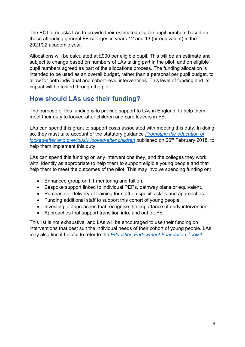The EOI form asks LAs to provide their estimated eligible pupil numbers based on those attending general FE colleges in years 12 and 13 (or equivalent) in the 2021/22 academic year.

Allocations will be calculated at £900 per eligible pupil. This will be an estimate and subject to change based on numbers of LAs taking part in the pilot, and on eligible pupil numbers agreed as part of the allocations process. The funding allocation is intended to be used as an overall budget, rather than a personal per pupil budget, to allow for both individual and cohort-level interventions. This level of funding and its impact will be tested through the pilot.

## <span id="page-5-0"></span>**How should LAs use their funding?**

The purpose of this funding is to provide support to LAs in England, to help them meet their duty to looked-after children and care leavers in FE.

LAs can spend this grant to support costs associated with meeting this duty. In doing so, they must take account of the statutory guidance *[Promoting the education of](https://assets.publishing.service.gov.uk/government/uploads/system/uploads/attachment_data/file/683556/Promoting_the_education_of_looked-after_children_and_previously_looked-after_children.pdf)  [looked-after and previously looked-after children](https://assets.publishing.service.gov.uk/government/uploads/system/uploads/attachment_data/file/683556/Promoting_the_education_of_looked-after_children_and_previously_looked-after_children.pdf)* published on 26th February 2018, to help them implement this duty.

LAs can spend this funding on any interventions they, and the colleges they work with, identify as appropriate to help them to support eligible young people and that help them to meet the outcomes of the pilot. This may involve spending funding on:

- Enhanced group or 1:1 mentoring and tuition.
- Bespoke support linked to individual PEPs, pathway plans or equivalent.
- Purchase or delivery of training for staff on specific skills and approaches.
- Funding additional staff to support this cohort of young people.
- Investing in approaches that recognise the importance of early intervention.
- Approaches that support transition into, and out of, FE.

This list is not exhaustive, and LAs will be encouraged to use their funding on interventions that best suit the individual needs of their cohort of young people. LAs may also find it helpful to refer to the *[Education Endowment Foundation Toolkit](https://educationendowmentfoundation.org.uk/evidence-summaries/teaching-learning-toolkit/)*.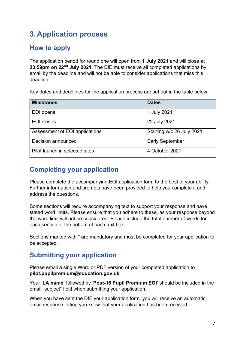# <span id="page-6-0"></span>**3. Application process**

#### <span id="page-6-1"></span>**How to apply**

The application period for round one will open from **1 July 2021** and will close at **23:59pm on 22nd July 2021**. The DfE must receive all completed applications by email by the deadline and will not be able to consider applications that miss this deadline.

Key dates and deadlines for the application process are set out in the table below.

| <b>Milestones</b>              | <b>Dates</b>              |
|--------------------------------|---------------------------|
| EOI opens                      | 1 July 2021               |
| <b>EOI</b> closes              | 22 July 2021              |
| Assessment of EOI applications | Starting w/c 26 July 2021 |
| Decision announced             | <b>Early September</b>    |
| Pilot launch in selected sites | 4 October 2021            |

## <span id="page-6-2"></span>**Completing your application**

Please complete the accompanying EOI application form to the best of your ability. Further information and prompts have been provided to help you complete it and address the questions.

Some sections will require accompanying text to support your response and have stated word limits. Please ensure that you adhere to these, as your response beyond the word limit will not be considered. Please include the total number of words for each section at the bottom of each text box.

Sections marked with \* are mandatory and must be completed for your application to be accepted.

## <span id="page-6-3"></span>**Submitting your application**

Please email a single Word or PDF version of your completed application to **pilot.pupilpremium@education.gov.uk**

Your '**LA name'** followed by '**Post-16 Pupil Premium EOI**' should be included in the email "subject" field when submitting your application.

When you have sent the DfE your application form, you will receive an automatic email response letting you know that your application has been received.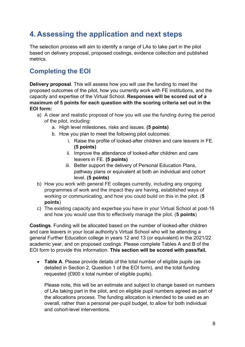# <span id="page-7-0"></span>**4. Assessing the application and next steps**

The selection process will aim to identify a range of LAs to take part in the pilot based on delivery proposal, proposed costings, evidence collection and published metrics.

## <span id="page-7-1"></span>**Completing the EOI**

**Delivery proposal**. This will assess how you will use the funding to meet the proposed outcomes of the pilot, how you currently work with FE institutions, and the capacity and expertise of the Virtual School. **Responses will be scored out of a maximum of 5 points for each question with the scoring criteria set out in the EOI form:**

- a) A clear and realistic proposal of how you will use the funding during the period of the pilot, including:
	- a. High level milestones, risks and issues. **(5 points)**
	- b. How you plan to meet the following pilot outcomes:
		- i. Raise the profile of looked-after children and care leavers in FE. **(5 points)**
		- ii. Improve the attendance of looked-after children and care leavers in FE. **(5 points)**
		- iii. Better support the delivery of Personal Education Plans, pathway plans or equivalent at both an individual and cohort level. **(5 points)**
- b) How you work with general FE colleges currently, including any ongoing programmes of work and the impact they are having, established ways of working or communicating, and how you could build on this in the pilot. (**5 points**)
- c) The existing capacity and expertise you have in your Virtual School at post-16 and how you would use this to effectively manage the pilot. (**5 points**)

**Costings**. Funding will be allocated based on the number of looked-after children and care leavers in your local authority's Virtual School who will be attending a general Further Education college in years 12 and 13 (or equivalent) in the 2021/22 academic year, and on proposed costings. Please complete Tables A and B of the EOI form to provide this information. **This section will be scored with pass/fail.**

• **Table A**. Please provide details of the total number of eligible pupils (as detailed in Section 2, Question 1 of the EOI form), and the total funding requested (£900 x total number of eligible pupils).

Please note, this will be an estimate and subject to change based on numbers of LAs taking part in the pilot, and on eligible pupil numbers agreed as part of the allocations process. The funding allocation is intended to be used as an overall, rather than a personal per-pupil budget, to allow for both individual and cohort-level interventions.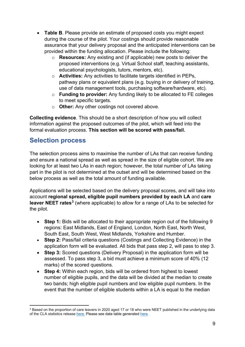- **Table B**. Please provide an estimate of proposed costs you might expect during the course of the pilot. Your costings should provide reasonable assurance that your delivery proposal and the anticipated interventions can be provided within the funding allocation. Please include the following:
	- o **Resources:** Any existing and (if applicable) new posts to deliver the proposed interventions (e.g. Virtual School staff, teaching assistants, educational psychologists, tutors, mentors, etc).
	- o **Activities:** Any activities to facilitate targets identified in PEPs, pathway plans or equivalent plans (e.g. buying in or delivery of training, use of data management tools, purchasing software/hardware, etc).
	- o **Funding to provider:** Any funding likely to be allocated to FE colleges to meet specific targets.
	- o **Other:** Any other costings not covered above.

**Collecting evidence**. This should be a short description of how you will collect information against the proposed outcomes of the pilot, which will feed into the formal evaluation process. **This section will be scored with pass/fail.**

#### <span id="page-8-0"></span>**Selection process**

The selection process aims to maximise the number of LAs that can receive funding and ensure a national spread as well as spread in the size of eligible cohort. We are looking for at least two LAs in each region; however, the total number of LAs taking part in the pilot is not determined at the outset and will be determined based on the below process as well as the total amount of funding available.

Applications will be selected based on the delivery proposal scores, and will take into account **regional spread, eligible pupil numbers provided by each LA** and **care leaver NEET rates[3](#page-8-1)** (where applicable) to allow for a range of LAs to be selected for the pilot.

- **Step 1:** Bids will be allocated to their appropriate region out of the following 9 regions: East Midlands, East of England, London, North East, North West, South East, South West, West Midlands, Yorkshire and Humber.
- **Step 2:** Pass/fail criteria questions (Costings and Collecting Evidence) in the application form will be evaluated. All bids that pass step 2, will pass to step 3.
- **Step 3:** Scored questions (Delivery Proposal) in the application form will be assessed. To pass step 3, a bid must achieve a minimum score of 40% (12 marks) of the scored questions.
- **Step 4:** Within each region, bids will be ordered from highest to lowest number of eligible pupils, and the data will be divided at the median to create two bands; high eligible pupil numbers and low eligible pupil numbers. In the event that the number of eligible students within a LA is equal to the median

<span id="page-8-1"></span><sup>3</sup> Based on the proportion of care leavers in 2020 aged 17 or 18 who were NEET published in the underlying data of the CLA statistics release [here.](https://explore-education-statistics.service.gov.uk/data-tables/permalink/27643dea-97dd-4a80-91f5-105d0fd7e9a1) Please see data table generated here.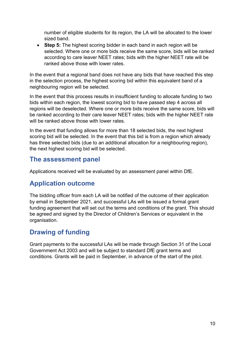number of eligible students for its region, the LA will be allocated to the lower sized band.

• **Step 5:** The highest scoring bidder in each band in each region will be selected. Where one or more bids receive the same score, bids will be ranked according to care leaver NEET rates; bids with the higher NEET rate will be ranked above those with lower rates.

In the event that a regional band does not have any bids that have reached this step in the selection process, the highest scoring bid within this equivalent band of a neighbouring region will be selected.

In the event that this process results in insufficient funding to allocate funding to two bids within each region, the lowest scoring bid to have passed step 4 across all regions will be deselected. Where one or more bids receive the same score, bids will be ranked according to their care leaver NEET rates; bids with the higher NEET rate will be ranked above those with lower rates.

In the event that funding allows for more than 18 selected bids, the next highest scoring bid will be selected. In the event that this bid is from a region which already has three selected bids (due to an additional allocation for a neighbouring region). the next highest scoring bid will be selected.

#### <span id="page-9-0"></span>**The assessment panel**

Applications received will be evaluated by an assessment panel within DfE.

#### <span id="page-9-1"></span>**Application outcome**

The bidding officer from each LA will be notified of the outcome of their application by email in September 2021, and successful LAs will be issued a formal grant funding agreement that will set out the terms and conditions of the grant. This should be agreed and signed by the Director of Children's Services or equivalent in the organisation.

## <span id="page-9-2"></span>**Drawing of funding**

Grant payments to the successful LAs will be made through Section 31 of the Local Government Act 2003 and will be subject to standard DfE grant terms and conditions. Grants will be paid in September, in advance of the start of the pilot.